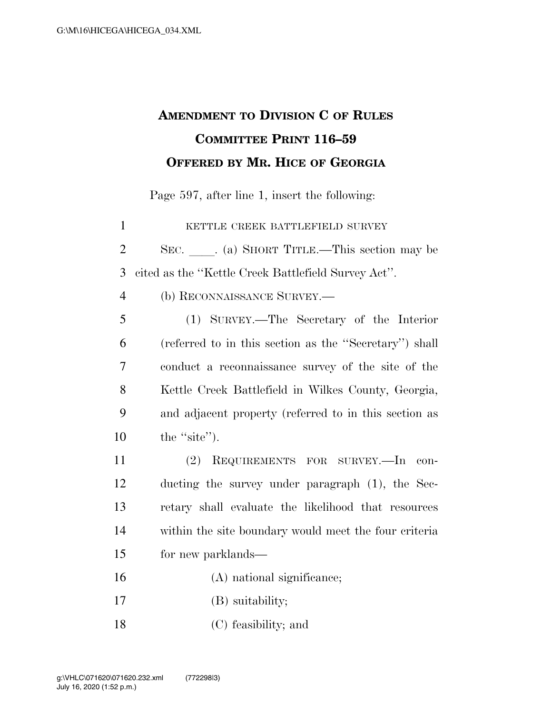## **AMENDMENT TO DIVISION C OF RULES COMMITTEE PRINT 116–59 OFFERED BY MR. HICE OF GEORGIA**

Page 597, after line 1, insert the following:

**KETTLE CREEK BATTLEFIELD SURVEY** 2 SEC. (a) SHORT TITLE.—This section may be cited as the ''Kettle Creek Battlefield Survey Act''. (b) RECONNAISSANCE SURVEY.— (1) SURVEY.—The Secretary of the Interior (referred to in this section as the ''Secretary'') shall conduct a reconnaissance survey of the site of the Kettle Creek Battlefield in Wilkes County, Georgia, and adjacent property (referred to in this section as 10 the "site"). (2) REQUIREMENTS FOR SURVEY.—In con- ducting the survey under paragraph (1), the Sec- retary shall evaluate the likelihood that resources within the site boundary would meet the four criteria for new parklands— (A) national significance; (B) suitability;

(C) feasibility; and